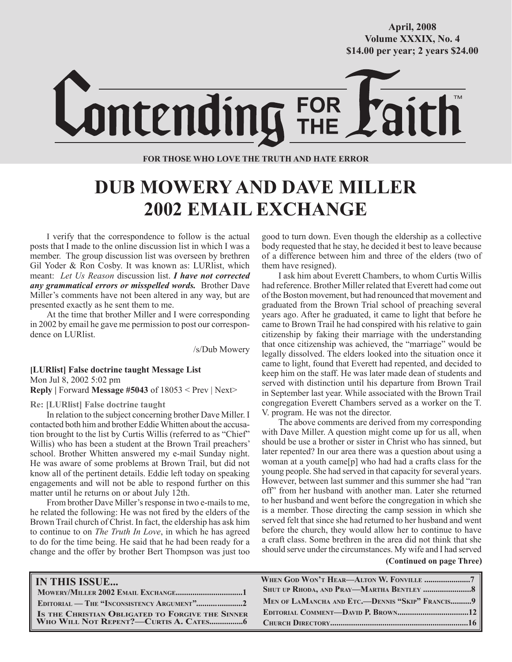**October/2007 Volume XXXIX, No. 4 Volume XXXVIII, No. 10 \$14.00 per year; 2 years \$24.00 \$14.00 per year; 2 years \$24.00 April, 2008**



**FOR THOSE WHO LOVE THE TRUTH AND HATE ERROR**

## **DUB MOWERY AND DAVE MILLER 2002 EMAIL EXCHANGE**

I verify that the correspondence to follow is the actual posts that I made to the online discussion list in which I was a member. The group discussion list was overseen by brethren Gil Yoder & Ron Cosby. It was known as: LURlist, which meant: *Let Us Reason* discussion list. *I have not corrected any grammatical errors or misspelled words.* Brother Dave Miller's comments have not been altered in any way, but are presented exactly as he sent them to me.

At the time that brother Miller and I were corresponding in 2002 by email he gave me permission to post our correspondence on LURlist.

/s/Dub Mowery

**[LURlist] False doctrine taught Message List** Mon Jul 8, 2002 5:02 pm **Reply |** Forward **Message #5043** of 18053 < Prev | Next>

**Re: [LURlist] False doctrine taught**

In relation to the subject concerning brother Dave Miller. I contacted both him and brother Eddie Whitten about the accusation brought to the list by Curtis Willis (referred to as "Chief" Willis) who has been a student at the Brown Trail preachers' school. Brother Whitten answered my e-mail Sunday night. He was aware of some problems at Brown Trail, but did not know all of the pertinent details. Eddie left today on speaking engagements and will not be able to respond further on this matter until he returns on or about July 12th.

From brother Dave Miller's response in two e-mails to me, he related the following: He was not fired by the elders of the Brown Trail church of Christ. In fact, the eldership has ask him to continue to on *The Truth In Love*, in which he has agreed to do for the time being. He said that he had been ready for a change and the offer by brother Bert Thompson was just too

good to turn down. Even though the eldership as a collective body requested that he stay, he decided it best to leave because of a difference between him and three of the elders (two of them have resigned).

I ask him about Everett Chambers, to whom Curtis Willis had reference. Brother Miller related that Everett had come out of the Boston movement, but had renounced that movement and graduated from the Brown Trial school of preaching several years ago. After he graduated, it came to light that before he came to Brown Trail he had conspired with his relative to gain citizenship by faking their marriage with the understanding that once citizenship was achieved, the "marriage" would be legally dissolved. The elders looked into the situation once it came to light, found that Everett had repented, and decided to keep him on the staff. He was later made dean of students and served with distinction until his departure from Brown Trail in September last year. While associated with the Brown Trail congregation Everett Chambers served as a worker on the T. V. program. He was not the director.

**(Continued on page Three)** The above comments are derived from my corresponding with Dave Miller. A question might come up for us all, when should be use a brother or sister in Christ who has sinned, but later repented? In our area there was a question about using a woman at a youth came[p] who had had a crafts class for the young people. She had served in that capacity for several years. However, between last summer and this summer she had "ran off" from her husband with another man. Later she returned to her husband and went before the congregation in which she is a member. Those directing the camp session in which she served felt that since she had returned to her husband and went before the church, they would allow her to continue to have a craft class. Some brethren in the area did not think that she should serve under the circumstances. My wife and I had served

| <b>IN THIS ISSUE</b>                             |                                                 |
|--------------------------------------------------|-------------------------------------------------|
|                                                  | SHUT UP RHODA, AND PRAY—MARTHA BENTLEY 8        |
| EDITORIAL — THE "INCONSISTENCY ARGUMENT"2        | MEN OF LAMANCHA AND ETC.—DENNIS "SKIP" FRANCIS9 |
| IS THE CHRISTIAN OBLIGATED TO FORGIVE THE SINNER |                                                 |
|                                                  |                                                 |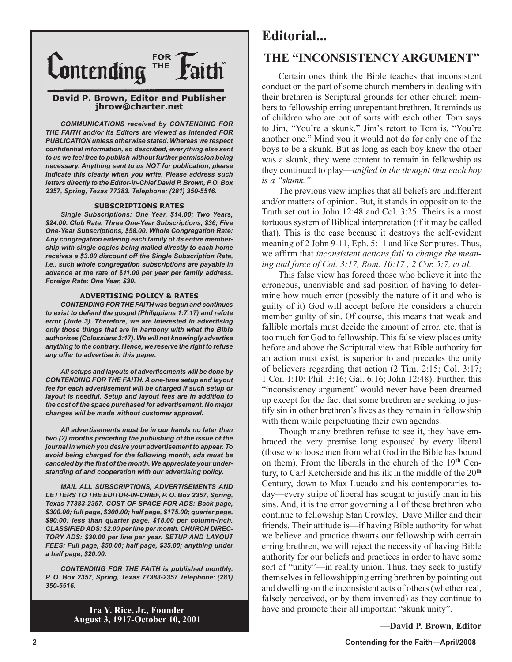

### **David P. Brown, Editor and Publisher jbrow@charter.net**

*COMMUNICATIONS received by CONTENDING FOR THE FAITH and/or its Editors are viewed as intended FOR PUBLICATION unless otherwise stated. Whereas we respect confidential information, so described, everything else sent to us we feel free to publish without further permission being necessary. Anything sent to us NOT for publication, please indicate this clearly when you write. Please address such letters directly to the Editor-in-Chief David P. Brown, P.O. Box 2357, Spring, Texas 77383. Telephone: (281) 350-5516.*

#### **SUBSCRIPTIONS RATES**

*Single Subscriptions: One Year, \$14.00; Two Years, \$24.00. Club Rate: Three One-Year Subscriptions, \$36; Five One-Year Subscriptions, \$58.00. Whole Congregation Rate: Any congregation entering each family of its entire membership with single copies being mailed directly to each home receives a \$3.00 discount off the Single Subscription Rate, i.e., such whole congregation subscriptions are payable in advance at the rate of \$11.00 per year per family address. Foreign Rate: One Year, \$30.*

#### **ADVERTISING POLICY & RATES**

*CONTENDING FOR THE FAITH was begun and continues to exist to defend the gospel (Philippians 1:7,17) and refute error (Jude 3). Therefore, we are interested in advertising only those things that are in harmony with what the Bible authorizes (Colossians 3:17). We will not knowingly advertise anything to the contrary. Hence, we reserve the right to refuse any offer to advertise in this paper.*

*All setups and layouts of advertisements will be done by CONTENDING FOR THE FAITH. A one-time setup and layout fee for each advertisement will be charged if such setup or layout is needful. Setup and layout fees are in addition to the cost of the space purchased for advertisement. No major changes will be made without customer approval.*

*All advertisements must be in our hands no later than two (2) months preceding the publishing of the issue of the journal in which you desire your advertisement to appear. To avoid being charged for the following month, ads must be canceled by the first of the month. We appreciate your understanding of and cooperation with our advertising policy.*

*MAIL ALL SUBSCRIPTIONS, ADVERTISEMENTS AND LETTERS TO THE EDITOR-IN-CHIEF, P. O. Box 2357, Spring, Texas 77383-2357. COST OF SPACE FOR ADS: Back page, \$300.00; full page, \$300.00; half page, \$175.00; quarter page, \$90.00; less than quarter page, \$18.00 per column-inch. CLASSIFIED ADS: \$2.00 per line per month. CHURCH DIREC-TORY ADS: \$30.00 per line per year. SETUP AND LAYOUT FEES: Full page, \$50.00; half page, \$35.00; anything under a half page, \$20.00.*

*CONTENDING FOR THE FAITH is published monthly. P. O. Box 2357, Spring, Texas 77383-2357 Telephone: (281) 350-5516.*

> **Ira Y. Rice, Jr., Founder August 3, 1917-October 10, 2001**

### **Editorial...**

### **THE "INCONSISTENCY ARGUMENT"**

Certain ones think the Bible teaches that inconsistent conduct on the part of some church members in dealing with their brethren is Scriptural grounds for other church members to fellowship erring unrepentant brethren. It reminds us of children who are out of sorts with each other. Tom says to Jim, "You're a skunk." Jim's retort to Tom is, "You're another one." Mind you it would not do for only one of the boys to be a skunk. But as long as each boy knew the other was a skunk, they were content to remain in fellowship as they continued to play—*unified in the thought that each boy is a "skunk."*

The previous view implies that all beliefs are indifferent and/or matters of opinion. But, it stands in opposition to the Truth set out in John 12:48 and Col. 3:25. Theirs is a most tortuous system of Biblical interpretation (if it may be called that). This is the case because it destroys the self-evident meaning of 2 John 9-11, Eph. 5:11 and like Scriptures. Thus, we affirm that *inconsistent actions fail to change the meaning and force of Col. 3:17, Rom. 10:17 , 2 Cor. 5:7, et al.*

This false view has forced those who believe it into the erroneous, unenviable and sad position of having to determine how much error (possibly the nature of it and who is guilty of it) God will accept before He considers a church member guilty of sin. Of course, this means that weak and fallible mortals must decide the amount of error, etc. that is too much for God to fellowship. This false view places unity before and above the Scriptural view that Bible authority for an action must exist, is superior to and precedes the unity of believers regarding that action (2 Tim. 2:15; Col. 3:17; 1 Cor. 1:10; Phil. 3:16; Gal. 6:16; John 12:48). Further, this "inconsistency argument" would never have been dreamed up except for the fact that some brethren are seeking to justify sin in other brethren's lives as they remain in fellowship with them while perpetuating their own agendas.

Though many brethren refuse to see it, they have embraced the very premise long espoused by every liberal (those who loose men from what God in the Bible has bound on them). From the liberals in the church of the 19**th** Century, to Carl Ketcherside and his ilk in the middle of the 20**th** Century, down to Max Lucado and his contemporaries today—every stripe of liberal has sought to justify man in his sins. And, it is the error governing all of those brethren who continue to fellowship Stan Crowley, Dave Miller and their friends. Their attitude is—if having Bible authority for what we believe and practice thwarts our fellowship with certain erring brethren, we will reject the necessity of having Bible authority for our beliefs and practices in order to have some sort of "unity"—in reality union. Thus, they seek to justify themselves in fellowshipping erring brethren by pointing out and dwelling on the inconsistent acts of others (whether real, falsely perceived, or by them invented) as they continue to have and promote their all important "skunk unity".

**—David P. Brown, Editor**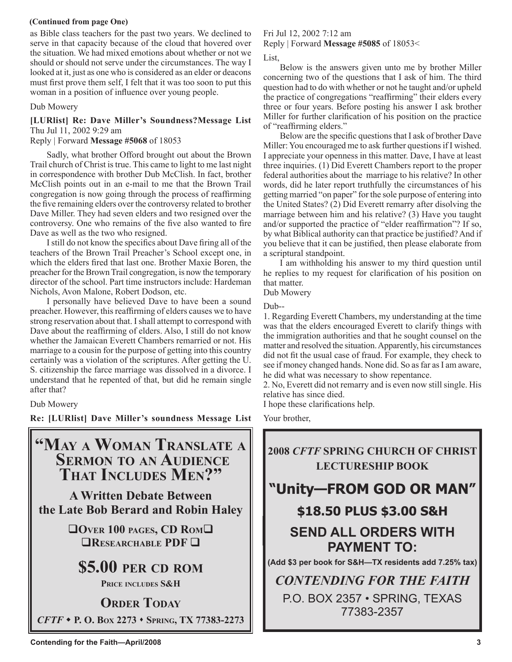### **(Continued from page One)**

as Bible class teachers for the past two years. We declined to serve in that capacity because of the cloud that hovered over the situation. We had mixed emotions about whether or not we should or should not serve under the circumstances. The way I looked at it, just as one who is considered as an elder or deacons must first prove them self, I felt that it was too soon to put this woman in a position of influence over young people.

### Dub Mowery

### **[LURlist] Re: Dave Miller's Soundness?Message List** Thu Jul 11, 2002 9:29 am

Reply | Forward **Message #5068** of 18053

Sadly, what brother Offord brought out about the Brown Trail church of Christ is true. This came to light to me last night in correspondence with brother Dub McClish. In fact, brother McClish points out in an e-mail to me that the Brown Trail congregation is now going through the process of reaffirming the five remaining elders over the controversy related to brother Dave Miller. They had seven elders and two resigned over the controversy. One who remains of the five also wanted to fire Dave as well as the two who resigned.

I still do not know the specifics about Dave firing all of the teachers of the Brown Trail Preacher's School except one, in which the elders fired that last one. Brother Maxie Boren, the preacher for the Brown Trail congregation, is now the temporary director of the school. Part time instructors include: Hardeman Nichols, Avon Malone, Robert Dodson, etc.

I personally have believed Dave to have been a sound preacher. However, this reaffirming of elders causes we to have strong reservation about that. I shall attempt to correspond with Dave about the reaffirming of elders. Also, I still do not know whether the Jamaican Everett Chambers remarried or not. His marriage to a cousin for the purpose of getting into this country certainly was a violation of the scriptures. After getting the U. S. citizenship the farce marriage was dissolved in a divorce. I understand that he repented of that, but did he remain single after that?

Dub Mowery

**Re: [LURlist] Dave Miller's soundness Message List**

### **"MAY A WOMAN TRANSLATE A SERMON TO AN AUDIENCE THAT INCLUDES MEN?"**

**A Written Debate Between the Late Bob Berard and Robin Haley**

> **OVER 100 PAGES, CD ROM RESEARCHABLE PDF I**

**\$5.00 PER CD ROM**

**PRICE INCLUDES S&H**

**ORDER TODAY** *CFTF*  **P. O. BOX 2273 SPRING, TX 77383-2273**

### Fri Jul 12, 2002 7:12 am

Reply | Forward **Message #5085** of 18053<

List,

Below is the answers given unto me by brother Miller concerning two of the questions that I ask of him. The third question had to do with whether or not he taught and/or upheld the practice of congregations "reaffirming" their elders every three or four years. Before posting his answer I ask brother Miller for further clarification of his position on the practice of "reaffirming elders."

Below are the specific questions that I ask of brother Dave Miller: You encouraged me to ask further questions if I wished. I appreciate your openness in this matter. Dave, I have at least three inquiries. (1) Did Everett Chambers report to the proper federal authorities about the marriage to his relative? In other words, did he later report truthfully the circumstances of his getting married "on paper" for the sole purpose of entering into the United States? (2) Did Everett remarry after disolving the marriage between him and his relative? (3) Have you taught and/or supported the practice of "elder reaffirmation"? If so, by what Biblical authority can that practice be justified? And if you believe that it can be justified, then please elaborate from a scriptural standpoint.

I am withholding his answer to my third question until he replies to my request for clarification of his position on that matter.

Dub Mowery

Dub--

1. Regarding Everett Chambers, my understanding at the time was that the elders encouraged Everett to clarify things with the immigration authorities and that he sought counsel on the matter and resolved the situation. Apparently, his circumstances did not fit the usual case of fraud. For example, they check to see if money changed hands. None did. So as far as I am aware, he did what was necessary to show repentance.

2. No, Everett did not remarry and is even now still single. His relative has since died.

I hope these clarifications help.

Your brother,



77383-2357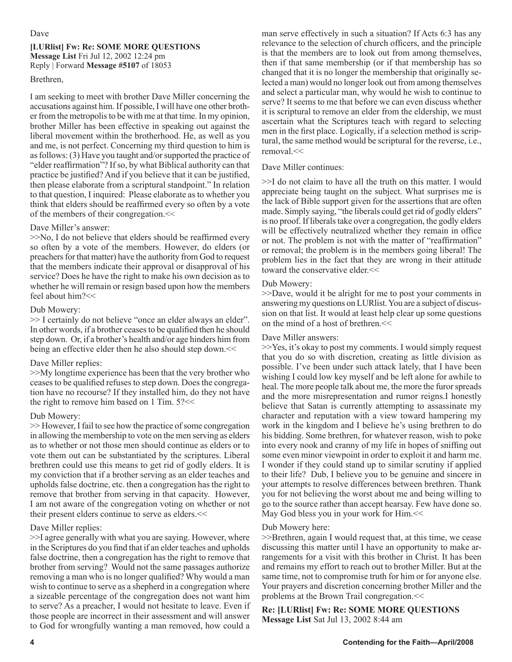### Dave

### **[LURlist] Fw: Re: SOME MORE QUESTIONS Message List** Fri Jul 12, 2002 12:24 pm Reply | Forward **Message #5107** of 18053

### Brethren,

I am seeking to meet with brother Dave Miller concerning the accusations against him. If possible, I will have one other brother from the metropolis to be with me at that time. In my opinion, brother Miller has been effective in speaking out against the liberal movement within the brotherhood. He, as well as you and me, is not perfect. Concerning my third question to him is as follows: (3) Have you taught and/or supported the practice of "elder reaffirmation"? If so, by what Biblical authority can that practice be justified? And if you believe that it can be justified, then please elaborate from a scriptural standpoint." In relation to that question, I inquired: Please elaborate as to whether you think that elders should be reaffirmed every so often by a vote of the members of their congregation.<<

### Dave Miller's answer:

 $>>$ No, I do not believe that elders should be reaffirmed every so often by a vote of the members. However, do elders (or preachers for that matter) have the authority from God to request that the members indicate their approval or disapproval of his service? Does he have the right to make his own decision as to whether he will remain or resign based upon how the members feel about him?<<

### Dub Mowery:

>> I certainly do not believe "once an elder always an elder". In other words, if a brother ceases to be qualified then he should step down. Or, if a brother's health and/or age hinders him from being an effective elder then he also should step down.<<

### Dave Miller replies:

>>My longtime experience has been that the very brother who ceases to be qualified refuses to step down. Does the congregation have no recourse? If they installed him, do they not have the right to remove him based on 1 Tim. 5?<<

### Dub Mowery:

>> However, I fail to see how the practice of some congregation in allowing the membership to vote on the men serving as elders as to whether or not those men should continue as elders or to vote them out can be substantiated by the scriptures. Liberal brethren could use this means to get rid of godly elders. It is my conviction that if a brother serving as an elder teaches and upholds false doctrine, etc. then a congregation has the right to remove that brother from serving in that capacity. However, I am not aware of the congregation voting on whether or not their present elders continue to serve as elders.<<

### Dave Miller replies:

>>I agree generally with what you are saying. However, where in the Scriptures do you find that if an elder teaches and upholds false doctrine, then a congregation has the right to remove that brother from serving? Would not the same passages authorize removing a man who is no longer qualified? Why would a man wish to continue to serve as a shepherd in a congregation where a sizeable percentage of the congregation does not want him to serve? As a preacher, I would not hesitate to leave. Even if those people are incorrect in their assessment and will answer to God for wrongfully wanting a man removed, how could a man serve effectively in such a situation? If Acts 6:3 has any relevance to the selection of church officers, and the principle is that the members are to look out from among themselves, then if that same membership (or if that membership has so changed that it is no longer the membership that originally selected a man) would no longer look out from among themselves and select a particular man, why would he wish to continue to serve? It seems to me that before we can even discuss whether it is scriptural to remove an elder from the eldership, we must ascertain what the Scriptures teach with regard to selecting men in the first place. Logically, if a selection method is scriptural, the same method would be scriptural for the reverse, i.e., removal.<<

### Dave Miller continues:

>>I do not claim to have all the truth on this matter. I would appreciate being taught on the subject. What surprises me is the lack of Bible support given for the assertions that are often made. Simply saying, "the liberals could get rid of godly elders" is no proof. If liberals take over a congregation, the godly elders will be effectively neutralized whether they remain in office or not. The problem is not with the matter of "reaffirmation" or removal; the problem is in the members going liberal! The problem lies in the fact that they are wrong in their attitude toward the conservative elder.<<

### Dub Mowery:

>>Dave, would it be alright for me to post your comments in answering my questions on LURlist. You are a subject of discussion on that list. It would at least help clear up some questions on the mind of a host of brethren.<<

### Dave Miller answers:

>>Yes, it's okay to post my comments. I would simply request that you do so with discretion, creating as little division as possible. I've been under such attack lately, that I have been wishing I could low key myself and be left alone for awhile to heal. The more people talk about me, the more the furor spreads and the more misrepresentation and rumor reigns.I honestly believe that Satan is currently attempting to assassinate my character and reputation with a view toward hampering my work in the kingdom and I believe he's using brethren to do his bidding. Some brethren, for whatever reason, wish to poke into every nook and cranny of my life in hopes of sniffing out some even minor viewpoint in order to exploit it and harm me. I wonder if they could stand up to similar scrutiny if applied to their life? Dub, I believe you to be genuine and sincere in your attempts to resolve differences between brethren. Thank you for not believing the worst about me and being willing to go to the source rather than accept hearsay. Few have done so. May God bless you in your work for Him. $<<$ 

### Dub Mowery here:

>>Brethren, again I would request that, at this time, we cease discussing this matter until I have an opportunity to make arrangements for a visit with this brother in Christ. It has been and remains my effort to reach out to brother Miller. But at the same time, not to compromise truth for him or for anyone else. Your prayers and discretion concerning brother Miller and the problems at the Brown Trail congregation.<<

**Re: [LURlist] Fw: Re: SOME MORE QUESTIONS Message List** Sat Jul 13, 2002 8:44 am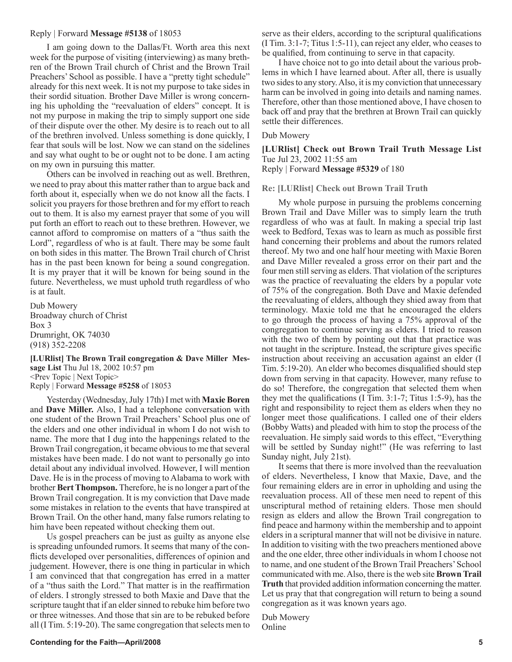### Reply | Forward **Message #5138** of 18053

I am going down to the Dallas/Ft. Worth area this next week for the purpose of visiting (interviewing) as many brethren of the Brown Trail church of Christ and the Brown Trail Preachers' School as possible. I have a "pretty tight schedule" already for this next week. It is not my purpose to take sides in their sordid situation. Brother Dave Miller is wrong concerning his upholding the "reevaluation of elders" concept. It is not my purpose in making the trip to simply support one side of their dispute over the other. My desire is to reach out to all of the brethren involved. Unless something is done quickly, I fear that souls will be lost. Now we can stand on the sidelines and say what ought to be or ought not to be done. I am acting on my own in pursuing this matter.

Others can be involved in reaching out as well. Brethren, we need to pray about this matter rather than to argue back and forth about it, especially when we do not know all the facts. I solicit you prayers for those brethren and for my effort to reach out to them. It is also my earnest prayer that some of you will put forth an effort to reach out to these brethren. However, we cannot afford to compromise on matters of a "thus saith the Lord", regardless of who is at fault. There may be some fault on both sides in this matter. The Brown Trail church of Christ has in the past been known for being a sound congregation. It is my prayer that it will be known for being sound in the future. Nevertheless, we must uphold truth regardless of who is at fault.

Dub Mowery Broadway church of Christ Box 3 Drumright, OK 74030 (918) 352-2208

**[LURlist] The Brown Trail congregation & Dave Miller Message List** Thu Jul 18, 2002 10:57 pm <Prev Topic | Next Topic> Reply | Forward **Message #5258** of 18053

Yesterday (Wednesday, July 17th) I met with **Maxie Boren**  and **Dave Miller.** Also, I had a telephone conversation with one student of the Brown Trail Preachers' School plus one of the elders and one other individual in whom I do not wish to name. The more that I dug into the happenings related to the Brown Trail congregation, it became obvious to me that several mistakes have been made. I do not want to personally go into detail about any individual involved. However, I will mention Dave. He is in the process of moving to Alabama to work with brother **Bert Thompson.** Therefore, he is no longer a part of the Brown Trail congregation. It is my conviction that Dave made some mistakes in relation to the events that have transpired at Brown Trail. On the other hand, many false rumors relating to him have been repeated without checking them out.

Us gospel preachers can be just as guilty as anyone else is spreading unfounded rumors. It seems that many of the conflicts developed over personalities, differences of opinion and judgement. However, there is one thing in particular in which I am convinced that that congregation has erred in a matter of a "thus saith the Lord." That matter is in the reaffirmation of elders. I strongly stressed to both Maxie and Dave that the scripture taught that if an elder sinned to rebuke him before two or three witnesses. And those that sin are to be rebuked before all (I Tim. 5:19-20). The same congregation that selects men to

serve as their elders, according to the scriptural qualifications (I Tim. 3:1-7; Titus 1:5-11), can reject any elder, who ceases to be qualified, from continuing to serve in that capacity.

I have choice not to go into detail about the various problems in which I have learned about. After all, there is usually two sides to any story. Also, it is my conviction that unnecessary harm can be involved in going into details and naming names. Therefore, other than those mentioned above, I have chosen to back off and pray that the brethren at Brown Trail can quickly settle their differences.

Dub Mowery

**[LURlist] Check out Brown Trail Truth Message List** Tue Jul 23, 2002 11:55 am Reply | Forward **Message #5329** of 180

**Re: [LURlist] Check out Brown Trail Truth**

My whole purpose in pursuing the problems concerning Brown Trail and Dave Miller was to simply learn the truth regardless of who was at fault. In making a special trip last week to Bedford, Texas was to learn as much as possible first hand concerning their problems and about the rumors related thereof. My two and one half hour meeting with Maxie Boren and Dave Miller revealed a gross error on their part and the four men still serving as elders. That violation of the scriptures was the practice of reevaluating the elders by a popular vote of 75% of the congregation. Both Dave and Maxie defended the reevaluating of elders, although they shied away from that terminology. Maxie told me that he encouraged the elders to go through the process of having a 75% approval of the congregation to continue serving as elders. I tried to reason with the two of them by pointing out that that practice was not taught in the scripture. Instead, the scripture gives specific instruction about receiving an accusation against an elder (I Tim. 5:19-20). An elder who becomes disqualified should step down from serving in that capacity. However, many refuse to do so! Therefore, the congregation that selected them when they met the qualifications (I Tim. 3:1-7; Titus 1:5-9), has the right and responsibility to reject them as elders when they no longer meet those qualifications. I called one of their elders (Bobby Watts) and pleaded with him to stop the process of the reevaluation. He simply said words to this effect, "Everything will be settled by Sunday night!" (He was referring to last Sunday night, July 21st).

It seems that there is more involved than the reevaluation of elders. Nevertheless, I know that Maxie, Dave, and the four remaining elders are in error in upholding and using the reevaluation process. All of these men need to repent of this unscriptural method of retaining elders. Those men should resign as elders and allow the Brown Trail congregation to find peace and harmony within the membership and to appoint elders in a scriptural manner that will not be divisive in nature. In addition to visiting with the two preachers mentioned above and the one elder, three other individuals in whom I choose not to name, and one student of the Brown Trail Preachers' School communicated with me. Also, there is the web site **Brown Trail Truth** that provided addition information concerning the matter. Let us pray that that congregation will return to being a sound congregation as it was known years ago.

Dub Mowery Online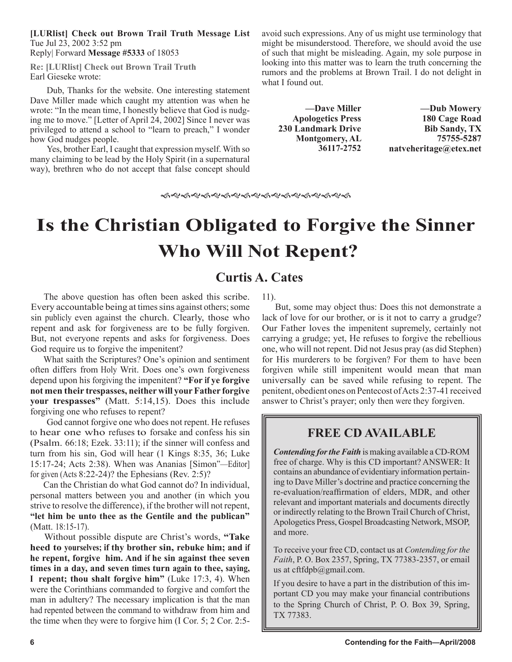**[LURlist] Check out Brown Trail Truth Message List** Tue Jul 23, 2002 3:52 pm Reply| Forward **Message #5333** of 18053

**Re: [LURlist] Check out Brown Trail Truth** Earl Gieseke wrote:

Dub, Thanks for the website. One interesting statement Dave Miller made which caught my attention was when he wrote: "In the mean time, I honestly believe that God is nudging me to move." [Letter of April 24, 2002] Since I never was privileged to attend a school to "learn to preach," I wonder how God nudges people.

Yes, brother Earl, I caught that expression myself. With so many claiming to be lead by the Holy Spirit (in a supernatural way), brethren who do not accept that false concept should avoid such expressions. Any of us might use terminology that might be misunderstood. Therefore, we should avoid the use of such that might be misleading. Again, my sole purpose in looking into this matter was to learn the truth concerning the rumors and the problems at Brown Trail. I do not delight in what I found out.

**—Dave Miller Apologetics Press 230 Landmark Drive Montgomery, AL 36117-2752**

**—Dub Mowery 180 Cage Road Bib Sandy, TX 75755-5287 natveheritage@etex.net**

ଈଝଈଝଈଝଈଝଈଝଈଝଈଝଈଝଈଝଈ

## **Is the Christian Obligated to Forgive the Sinner Who Will Not Repent?**

### **Curtis A. Cates**

The above question has often been asked this scribe. Every accountable being at times sins against others; some sin publicly even against the church. Clearly, those who repent and ask for forgiveness are to be fully forgiven. But, not everyone repents and asks for forgiveness. Does God require us to forgive the impenitent?

What saith the Scriptures? One's opinion and sentiment often differs from Holy Writ. Does one's own forgiveness depend upon his forgiving the impenitent? **"For if ye forgive not men their trespasses, neither will your Father forgive your trespasses"** (Matt. 5:14,15). Does this include forgiving one who refuses to repent?

God cannot forgive one who does not repent. He refuses to hear one who refuses to forsake and confess his sin (Psalm. 66:18; Ezek. 33:11); if the sinner will confess and turn from his sin, God will hear (1 Kings 8:35, 36; Luke 15:17-24; Acts 2:38). When was Ananias [Simon"—Editor] for given (Acts 8:22-24)? the Ephesians (Rev. 2:5)?

Can the Christian do what God cannot do? In individual, personal matters between you and another (in which you strive to resolve the difference), if the brother will not repent, **"let him be unto thee as the Gentile and the publican"** (Matt. 18:15-17).

Without possible dispute are Christ's words, **"Take heed to yourselves; if thy brother sin, rebuke him; and if he repent, forgive him. And if he sin against thee seven times in a day, and seven times turn again to thee, saying, I repent; thou shalt forgive him"** (Luke 17:3, 4). When were the Corinthians commanded to forgive and comfort the man in adultery? The necessary implication is that the man had repented between the command to withdraw from him and the time when they were to forgive him (I Cor. 5; 2 Cor. 2:511).

But, some may object thus: Does this not demonstrate a lack of love for our brother, or is it not to carry a grudge? Our Father loves the impenitent supremely, certainly not carrying a grudge; yet, He refuses to forgive the rebellious one, who will not repent. Did not Jesus pray (as did Stephen) for His murderers to be forgiven? For them to have been forgiven while still impenitent would mean that man universally can be saved while refusing to repent. The penitent, obedient ones on Pentecost of Acts 2:37-41 received answer to Christ's prayer; only then were they forgiven.

### **FREE CD AVAILABLE**

*Contending for the Faith* is making available a CD-ROM free of charge. Why is this CD important? ANSWER: It contains an abundance of evidentiary information pertaining to Dave Miller's doctrine and practice concerning the re-evaluation/reaffirmation of elders, MDR, and other relevant and important materials and documents directly or indirectly relating to the Brown Trail Church of Christ, Apologetics Press, Gospel Broadcasting Network, MSOP, and more.

To receive your free CD, contact us at *Contending for the Faith*, P. O. Box 2357, Spring, TX 77383-2357, or email us at cftfdpb@gmail.com.

If you desire to have a part in the distribution of this important CD you may make your financial contributions to the Spring Church of Christ, P. O. Box 39, Spring, TX 77383.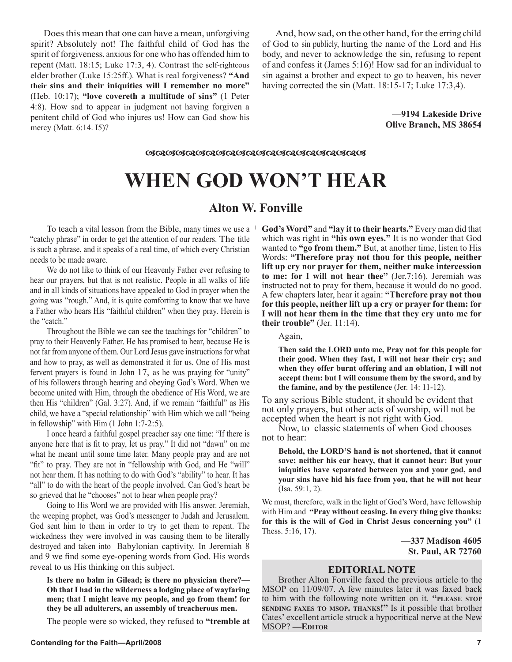Does this mean that one can have a mean, unforgiving spirit? Absolutely not! The faithful child of God has the spirit of forgiveness, anxious for one who has offended him to repent (Matt. 18:15; Luke 17:3, 4). Contrast the self-righteous elder brother (Luke 15:25ff.). What is real forgiveness? **"And their sins and their iniquities will I remember no more"** (Heb. 10:17); **"love covereth a multitude of sins"** (1 Peter 4:8). How sad to appear in judgment not having forgiven a penitent child of God who injures us! How can God show his mercy (Matt. 6:14. I5)?

And, how sad, on the other hand, for the erring child of God to sin publicly, hurting the name of the Lord and His body, and never to acknowledge the sin, refusing to repent of and confess it (James 5:16)! How sad for an individual to sin against a brother and expect to go to heaven, his never having corrected the sin (Matt. 18:15-17; Luke 17:3,4).

> **—9194 Lakeside Drive Olive Branch, MS 38654**

*ସେପ୍ଟସେମ୍ବର* ସେପ୍ଟପେଟ୍ଟ ସେପ୍ଟ ସେପ୍ଟ ସେପ୍ଟ ସେପ୍ଟ ସେପ୍ଟ

## **WHEN GOD WON'T HEAR**

### **Alton W. Fonville**

"catchy phrase" in order to get the attention of our readers. The title is such a phrase, and it speaks of a real time, of which every Christian needs to be made aware.

We do not like to think of our Heavenly Father ever refusing to hear our prayers, but that is not realistic. People in all walks of life and in all kinds of situations have appealed to God in prayer when the going was "rough." And, it is quite comforting to know that we have a Father who hears His "faithful children" when they pray. Herein is the "catch."

Throughout the Bible we can see the teachings for "children" to pray to their Heavenly Father. He has promised to hear, because He is not far from anyone of them. Our Lord Jesus gave instructions for what and how to pray, as well as demonstrated it for us. One of His most fervent prayers is found in John 17, as he was praying for "unity" of his followers through hearing and obeying God's Word. When we become united with Him, through the obedience of His Word, we are then His "children" (Gal. 3:27). And, if we remain "faithful" as His child, we have a "special relationship" with Him which we call "being in fellowship" with Him (1 John 1:7-2:5).

I once heard a faithful gospel preacher say one time: "If there is anyone here that is fit to pray, let us pray." It did not "dawn" on me what he meant until some time later. Many people pray and are not "fit" to pray. They are not in "fellowship with God, and He "will" not hear them. It has nothing to do with God's "ability" to hear. It has "all" to do with the heart of the people involved. Can God's heart be so grieved that he "chooses" not to hear when people pray?

Going to His Word we are provided with His answer. Jeremiah, the weeping prophet, was God's messenger to Judah and Jerusalem. God sent him to them in order to try to get them to repent. The wickedness they were involved in was causing them to be literally destroyed and taken into Babylonian captivity. In Jeremiah 8 and 9 we find some eye-opening words from God. His words reveal to us His thinking on this subject.

**Is there no balm in Gilead; is there no physician there?— Oh that I had in the wilderness a lodging place of wayfaring men; that I might leave my people, and go from them! for they be all adulterers, an assembly of treacherous men.** 

The people were so wicked, they refused to **"tremble at** 

To teach a vital lesson from the Bible, many times we use a **God's Word"** and **"lay it to their hearts."** Every man did that which was right in **"his own eyes."** It is no wonder that God wanted to **"go from them."** But, at another time, listen to His Words: **"Therefore pray not thou for this people, neither lift up cry nor prayer for them, neither make intercession to me: for I will not hear thee"** (Jer.7:16). Jeremiah was instructed not to pray for them, because it would do no good. A few chapters later, hear it again: **"Therefore pray not thou for this people, neither lift up a cry or prayer for them: for I will not hear them in the time that they cry unto me for their trouble"** (Jer. 11:14).

Again,

**Then said the LORD unto me, Pray not for this people for their good. When they fast, I will not hear their cry; and when they offer burnt offering and an oblation, I will not accept them: but I will consume them by the sword, and by the famine, and by the pestilence** (Jer. 14: 11-12).

To any serious Bible student, it should be evident that not only prayers, but other acts of worship, will not be accepted when the heart is not right with God.

Now, to classic statements of when God chooses not to hear:

**Behold, the LORD'S hand is not shortened, that it cannot save; neither his ear heavy, that it cannot hear: But your iniquities have separated between you and your god, and your sins have hid his face from you, that he will not hear** (Isa. 59:1, 2).

We must, therefore, walk in the light of God's Word, have fellowship with Him and **"Pray without ceasing. In every thing give thanks: for this is the will of God in Christ Jesus concerning you"** (1 Thess. 5:16, 17).

> **—337 Madison 4605 St. Paul, AR 72760**

### **EDITORIAL NOTE**

Brother Alton Fonville faxed the previous article to the MSOP on 11/09/07. A few minutes later it was faxed back to him with the following note written on it. **"PLEASE STOP SENDING FAXES TO MSOP. THANKS!"** Is it possible that brother Cates' excellent article struck a hypocritical nerve at the New MSOP? **—EDITOR**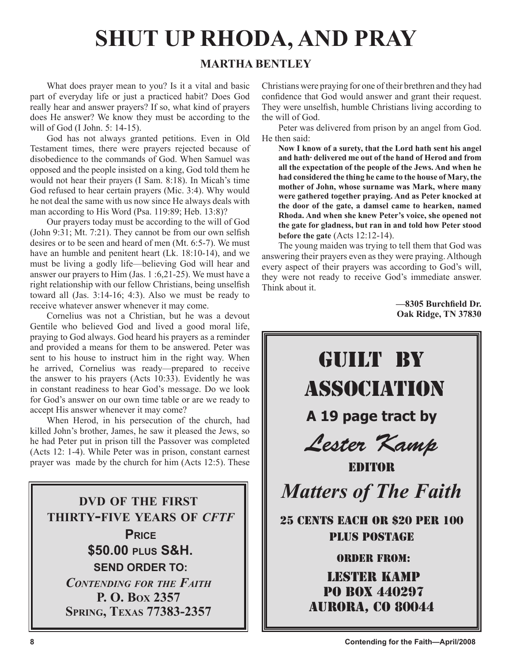## **SHUT UP RHODA, AND PRAY**

### **MARTHA BENTLEY**

What does prayer mean to you? Is it a vital and basic part of everyday life or just a practiced habit? Does God really hear and answer prayers? If so, what kind of prayers does He answer? We know they must be according to the will of God (I John. 5: 14-15).

God has not always granted petitions. Even in Old Testament times, there were prayers rejected because of disobedience to the commands of God. When Samuel was opposed and the people insisted on a king, God told them he would not hear their prayers (I Sam. 8:18). In Micah's time God refused to hear certain prayers (Mic. 3:4). Why would he not deal the same with us now since He always deals with man according to His Word (Psa. 119:89; Heb. 13:8)?

Our prayers today must be according to the will of God (John 9:31; Mt. 7:21). They cannot be from our own selfish desires or to be seen and heard of men (Mt. 6:5-7). We must have an humble and penitent heart (Lk. 18:10-14), and we must be living a godly life—believing God will hear and answer our prayers to Him (Jas. 1 :6,21-25). We must have a right relationship with our fellow Christians, being unselfish toward all (Jas. 3:14-16; 4:3). Also we must be ready to receive whatever answer whenever it may come.

Cornelius was not a Christian, but he was a devout Gentile who believed God and lived a good moral life, praying to God always. God heard his prayers as a reminder and provided a means for them to be answered. Peter was sent to his house to instruct him in the right way. When he arrived, Cornelius was ready—prepared to receive the answer to his prayers (Acts 10:33). Evidently he was in constant readiness to hear God's message. Do we look for God's answer on our own time table or are we ready to accept His answer whenever it may come?

When Herod, in his persecution of the church, had killed John's brother, James, he saw it pleased the Jews, so he had Peter put in prison till the Passover was completed (Acts 12: 1-4). While Peter was in prison, constant earnest prayer was made by the church for him (Acts 12:5). These

**DVD OF THE FIRST THIRTY-FIVE YEARS OF** *CFTF* **PRICE \$50.00 PLUS S&H. SEND ORDER TO:** *CONTENDING FOR THE FAITH* **P. O. BOX 2357 SPRING, TEXAS 77383-2357**

Christians were praying for one of their brethren and they had confidence that God would answer and grant their request. They were unselfish, humble Christians living according to the will of God.

Peter was delivered from prison by an angel from God. He then said:

**Now I know of a surety, that the Lord hath sent his angel and hath· delivered me out of the hand of Herod and from all the expectation of the people of the Jews. And when he had considered the thing he came to the house of Mary, the mother of John, whose surname was Mark, where many were gathered together praying. And as Peter knocked at the door of the gate, a damsel came to hearken, named Rhoda. And when she knew Peter's voice, she opened not the gate for gladness, but ran in and told how Peter stood before the gate** (Acts 12:12-14).

The young maiden was trying to tell them that God was answering their prayers even as they were praying. Although every aspect of their prayers was according to God's will, they were not ready to receive God's immediate answer. Think about it.

> **—8305 Burchfield Dr. Oak Ridge, TN 37830**

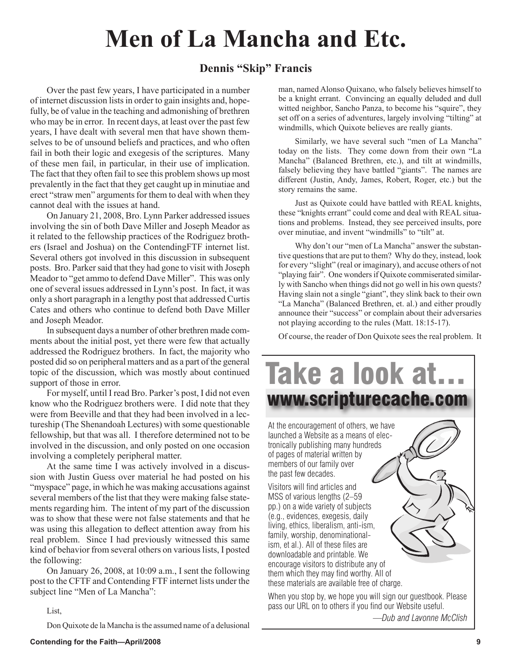## **Men of La Mancha and Etc.**

### **Dennis "Skip" Francis**

Over the past few years, I have participated in a number of internet discussion lists in order to gain insights and, hopefully, be of value in the teaching and admonishing of brethren who may be in error. In recent days, at least over the past few years, I have dealt with several men that have shown themselves to be of unsound beliefs and practices, and who often fail in both their logic and exegesis of the scriptures. Many of these men fail, in particular, in their use of implication. The fact that they often fail to see this problem shows up most prevalently in the fact that they get caught up in minutiae and erect "straw men" arguments for them to deal with when they cannot deal with the issues at hand.

On January 21, 2008, Bro. Lynn Parker addressed issues involving the sin of both Dave Miller and Joseph Meador as it related to the fellowship practices of the Rodriguez brothers (Israel and Joshua) on the ContendingFTF internet list. Several others got involved in this discussion in subsequent posts. Bro. Parker said that they had gone to visit with Joseph Meador to "get ammo to defend Dave Miller". This was only one of several issues addressed in Lynn's post. In fact, it was only a short paragraph in a lengthy post that addressed Curtis Cates and others who continue to defend both Dave Miller and Joseph Meador.

In subsequent days a number of other brethren made comments about the initial post, yet there were few that actually addressed the Rodriguez brothers. In fact, the majority who posted did so on peripheral matters and as a part of the general topic of the discussion, which was mostly about continued support of those in error.

For myself, until I read Bro. Parker's post, I did not even know who the Rodriguez brothers were. I did note that they were from Beeville and that they had been involved in a lectureship (The Shenandoah Lectures) with some questionable fellowship, but that was all. I therefore determined not to be involved in the discussion, and only posted on one occasion involving a completely peripheral matter.

At the same time I was actively involved in a discussion with Justin Guess over material he had posted on his "myspace" page, in which he was making accusations against several members of the list that they were making false statements regarding him. The intent of my part of the discussion was to show that these were not false statements and that he was using this allegation to deflect attention away from his real problem. Since I had previously witnessed this same kind of behavior from several others on various lists, I posted the following:

On January 26, 2008, at 10:09 a.m., I sent the following post to the CFTF and Contending FTF internet lists under the subject line "Men of La Mancha":

man, named Alonso Quixano, who falsely believes himself to be a knight errant. Convincing an equally deluded and dull witted neighbor, Sancho Panza, to become his "squire", they set off on a series of adventures, largely involving "tilting" at windmills, which Quixote believes are really giants.

Similarly, we have several such "men of La Mancha" today on the lists. They come down from their own "La Mancha" (Balanced Brethren, etc.), and tilt at windmills, falsely believing they have battled "giants". The names are different (Justin, Andy, James, Robert, Roger, etc.) but the story remains the same.

Just as Quixote could have battled with REAL knights, these "knights errant" could come and deal with REAL situations and problems. Instead, they see perceived insults, pore over minutiae, and invent "windmills" to "tilt" at.

Why don't our "men of La Mancha" answer the substantive questions that are put to them? Why do they, instead, look for every "slight" (real or imaginary), and accuse others of not "playing fair". One wonders if Quixote commiserated similarly with Sancho when things did not go well in his own quests? Having slain not a single "giant", they slink back to their own "La Mancha" (Balanced Brethren, et. al.) and either proudly announce their "success" or complain about their adversaries not playing according to the rules (Matt. 18:15-17).

Of course, the reader of Don Quixote sees the real problem. It



*—Dub and Lavonne McClish*

List,

Don Quixote de la Mancha is the assumed name of a delusional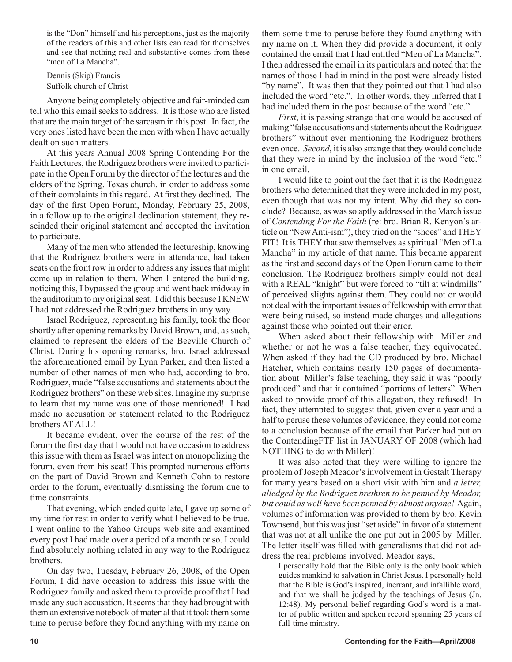is the "Don" himself and his perceptions, just as the majority of the readers of this and other lists can read for themselves and see that nothing real and substantive comes from these "men of La Mancha".

Dennis (Skip) Francis Suffolk church of Christ

Anyone being completely objective and fair-minded can tell who this email seeks to address. It is those who are listed that are the main target of the sarcasm in this post. In fact, the very ones listed have been the men with when I have actually dealt on such matters.

At this years Annual 2008 Spring Contending For the Faith Lectures, the Rodriguez brothers were invited to participate in the Open Forum by the director of the lectures and the elders of the Spring, Texas church, in order to address some of their complaints in this regard. At first they declined. The day of the first Open Forum, Monday, February 25, 2008, in a follow up to the original declination statement, they rescinded their original statement and accepted the invitation to participate.

Many of the men who attended the lectureship, knowing that the Rodriguez brothers were in attendance, had taken seats on the front row in order to address any issues that might come up in relation to them. When I entered the building, noticing this, I bypassed the group and went back midway in the auditorium to my original seat. I did this because I KNEW I had not addressed the Rodriguez brothers in any way.

Israel Rodriguez, representing his family, took the floor shortly after opening remarks by David Brown, and, as such, claimed to represent the elders of the Beeville Church of Christ. During his opening remarks, bro. Israel addressed the aforementioned email by Lynn Parker, and then listed a number of other names of men who had, according to bro. Rodriguez, made "false accusations and statements about the Rodriguez brothers" on these web sites. Imagine my surprise to learn that my name was one of those mentioned! I had made no accusation or statement related to the Rodriguez brothers AT ALL!

It became evident, over the course of the rest of the forum the first day that I would not have occasion to address this issue with them as Israel was intent on monopolizing the forum, even from his seat! This prompted numerous efforts on the part of David Brown and Kenneth Cohn to restore order to the forum, eventually dismissing the forum due to time constraints.

That evening, which ended quite late, I gave up some of my time for rest in order to verify what I believed to be true. I went online to the Yahoo Groups web site and examined every post I had made over a period of a month or so. I could find absolutely nothing related in any way to the Rodriguez brothers.

On day two, Tuesday, February 26, 2008, of the Open Forum, I did have occasion to address this issue with the Rodriguez family and asked them to provide proof that I had made any such accusation. It seems that they had brought with them an extensive notebook of material that it took them some time to peruse before they found anything with my name on them some time to peruse before they found anything with my name on it. When they did provide a document, it only contained the email that I had entitled "Men of La Mancha". I then addressed the email in its particulars and noted that the names of those I had in mind in the post were already listed "by name". It was then that they pointed out that I had also included the word "etc.". In other words, they inferred that I had included them in the post because of the word "etc.".

*First*, it is passing strange that one would be accused of making "false accusations and statements about the Rodriguez brothers" without ever mentioning the Rodriguez brothers even once. *Second*, it is also strange that they would conclude that they were in mind by the inclusion of the word "etc." in one email.

I would like to point out the fact that it is the Rodriguez brothers who determined that they were included in my post, even though that was not my intent. Why did they so conclude? Because, as was so aptly addressed in the March issue of *Contending For the Faith* (re: bro. Brian R. Kenyon's article on "New Anti-ism"), they tried on the "shoes" and THEY FIT! It is THEY that saw themselves as spiritual "Men of La Mancha" in my article of that name. This became apparent as the first and second days of the Open Forum came to their conclusion. The Rodriguez brothers simply could not deal with a REAL "knight" but were forced to "tilt at windmills" of perceived slights against them. They could not or would not deal with the important issues of fellowship with error that were being raised, so instead made charges and allegations against those who pointed out their error.

When asked about their fellowship with Miller and whether or not he was a false teacher, they equivocated. When asked if they had the CD produced by bro. Michael Hatcher, which contains nearly 150 pages of documentation about Miller's false teaching, they said it was "poorly produced" and that it contained "portions of letters". When asked to provide proof of this allegation, they refused! In fact, they attempted to suggest that, given over a year and a half to peruse these volumes of evidence, they could not come to a conclusion because of the email that Parker had put on the ContendingFTF list in JANUARY OF 2008 (which had NOTHING to do with Miller)!

It was also noted that they were willing to ignore the problem of Joseph Meador's involvement in Gestalt Therapy for many years based on a short visit with him and *a letter, alledged by the Rodriguez brethren to be penned by Meador, but could as well have been penned by almost anyone!* Again, volumes of information was provided to them by bro. Kevin Townsend, but this was just "set aside" in favor of a statement that was not at all unlike the one put out in 2005 by Miller. The letter itself was filled with generalisms that did not address the real problems involved. Meador says,

I personally hold that the Bible only is the only book which guides mankind to salvation in Christ Jesus. I personally hold that the Bible is God's inspired, inerrant, and infallible word, and that we shall be judged by the teachings of Jesus (Jn. 12:48). My personal belief regarding God's word is a matter of public written and spoken record spanning 25 years of full-time ministry.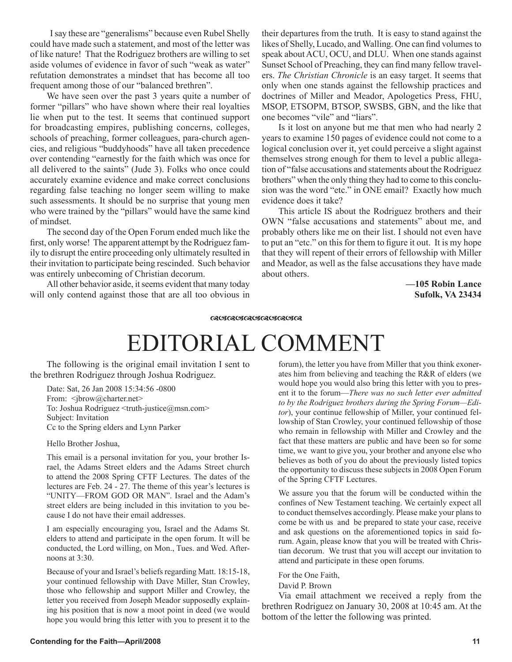I say these are "generalisms" because even Rubel Shelly could have made such a statement, and most of the letter was of like nature! That the Rodriguez brothers are willing to set aside volumes of evidence in favor of such "weak as water" refutation demonstrates a mindset that has become all too frequent among those of our "balanced brethren".

We have seen over the past 3 years quite a number of former "pillars" who have shown where their real loyalties lie when put to the test. It seems that continued support for broadcasting empires, publishing concerns, colleges, schools of preaching, former colleagues, para-church agencies, and religious "buddyhoods" have all taken precedence over contending "earnestly for the faith which was once for all delivered to the saints" (Jude 3). Folks who once could accurately examine evidence and make correct conclusions regarding false teaching no longer seem willing to make such assessments. It should be no surprise that young men who were trained by the "pillars" would have the same kind of mindset.

The second day of the Open Forum ended much like the first, only worse! The apparent attempt by the Rodriguez family to disrupt the entire proceeding only ultimately resulted in their invitation to participate being rescinded. Such behavior was entirely unbecoming of Christian decorum.

All other behavior aside, it seems evident that many today will only contend against those that are all too obvious in their departures from the truth. It is easy to stand against the likes of Shelly, Lucado, and Walling. One can find volumes to speak about ACU, OCU, and DLU. When one stands against Sunset School of Preaching, they can find many fellow travelers. *The Christian Chronicle* is an easy target. It seems that only when one stands against the fellowship practices and doctrines of Miller and Meador, Apologetics Press, FHU, MSOP, ETSOPM, BTSOP, SWSBS, GBN, and the like that one becomes "vile" and "liars".

Is it lost on anyone but me that men who had nearly 2 years to examine 150 pages of evidence could not come to a logical conclusion over it, yet could perceive a slight against themselves strong enough for them to level a public allegation of "false accusations and statements about the Rodriguez brothers" when the only thing they had to come to this conclusion was the word "etc." in ONE email? Exactly how much evidence does it take?

This article IS about the Rodriguez brothers and their OWN "false accusations and statements" about me, and probably others like me on their list. I should not even have to put an "etc." on this for them to figure it out. It is my hope that they will repent of their errors of fellowship with Miller and Meador, as well as the false accusations they have made about others.

> **—105 Robin Lance Sufolk, VA 23434**

#### **RUIRUIRUIRUIRUIRU**

## EDITORIAL COMMENT

The following is the original email invitation I sent to the brethren Rodriguez through Joshua Rodriguez.

Date: Sat, 26 Jan 2008 15:34:56 -0800 From: <*jbrow@charter.net>* To: Joshua Rodriguez <truth-justice@msn.com> Subject: Invitation Cc to the Spring elders and Lynn Parker

Hello Brother Joshua,

This email is a personal invitation for you, your brother Israel, the Adams Street elders and the Adams Street church to attend the 2008 Spring CFTF Lectures. The dates of the lectures are Feb. 24 - 27. The theme of this year's lectures is "UNITY—FROM GOD OR MAN". Israel and the Adam's street elders are being included in this invitation to you because I do not have their email addresses.

I am especially encouraging you, Israel and the Adams St. elders to attend and participate in the open forum. It will be conducted, the Lord willing, on Mon., Tues. and Wed. Afternoons at 3:30.

Because of your and Israel's beliefs regarding Matt. 18:15-18, your continued fellowship with Dave Miller, Stan Crowley, those who fellowship and support Miller and Crowley, the letter you received from Joseph Meador supposedly explaining his position that is now a moot point in deed (we would hope you would bring this letter with you to present it to the

forum), the letter you have from Miller that you think exonerates him from believing and teaching the R&R of elders (we would hope you would also bring this letter with you to present it to the forum—*There was no such letter ever admitted to by the Rodriguez brothers during the Spring Forum—Editor*), your continue fellowship of Miller, your continued fellowship of Stan Crowley, your continued fellowship of those who remain in fellowship with Miller and Crowley and the fact that these matters are public and have been so for some time, we want to give you, your brother and anyone else who believes as both of you do about the previously listed topics the opportunity to discuss these subjects in 2008 Open Forum of the Spring CFTF Lectures.

We assure you that the forum will be conducted within the confines of New Testament teaching. We certainly expect all to conduct themselves accordingly. Please make your plans to come be with us and be prepared to state your case, receive and ask questions on the aforementioned topics in said forum. Again, please know that you will be treated with Christian decorum. We trust that you will accept our invitation to attend and participate in these open forums.

#### For the One Faith,

David P. Brown

Via email attachment we received a reply from the brethren Rodriguez on January 30, 2008 at 10:45 am. At the bottom of the letter the following was printed.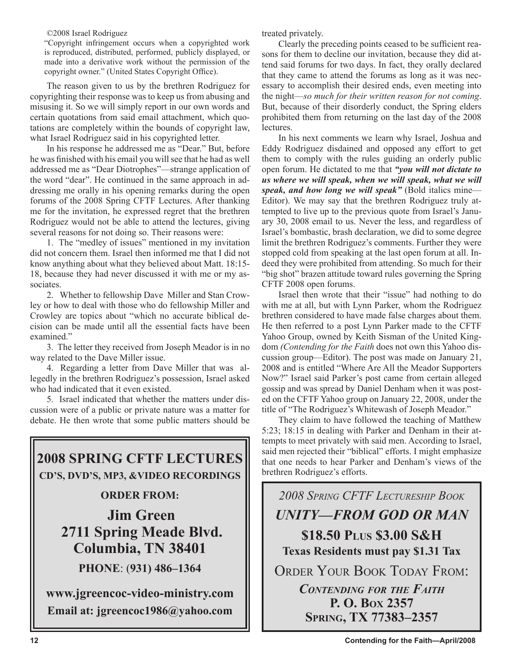©2008 Israel Rodriguez

"Copyright infringement occurs when a copyrighted work is reproduced, distributed, performed, publicly displayed, or made into a derivative work without the permission of the copyright owner." (United States Copyright Office).

The reason given to us by the brethren Rodriguez for copyrighting their response was to keep us from abusing and misusing it. So we will simply report in our own words and certain quotations from said email attachment, which quotations are completely within the bounds of copyright law, what Israel Rodriguez said in his copyrighted letter.

In his response he addressed me as "Dear." But, before he was finished with his email you will see that he had as well addressed me as "Dear Diotrophes"—strange application of the word "dear". He continued in the same approach in addressing me orally in his opening remarks during the open forums of the 2008 Spring CFTF Lectures. After thanking me for the invitation, he expressed regret that the brethren Rodriguez would not be able to attend the lectures, giving several reasons for not doing so. Their reasons were:

1. The "medley of issues" mentioned in my invitation did not concern them. Israel then informed me that I did not know anything about what they believed about Matt. 18:15- 18, because they had never discussed it with me or my associates.

2. Whether to fellowship Dave Miller and Stan Crowley or how to deal with those who do fellowship Miller and Crowley are topics about "which no accurate biblical decision can be made until all the essential facts have been examined."

3. The letter they received from Joseph Meador is in no way related to the Dave Miller issue.

4. Regarding a letter from Dave Miller that was allegedly in the brethren Rodriguez's possession, Israel asked who had indicated that it even existed.

5. Israel indicated that whether the matters under discussion were of a public or private nature was a matter for debate. He then wrote that some public matters should be



 **2711 Spring Meade Blvd. Columbia, TN 38401**

**PHONE**: (**931) 486–1364**

**www.jgreencoc-video-ministry.com Email at: jgreencoc1986@yahoo.com**

treated privately.

Clearly the preceding points ceased to be sufficient reasons for them to decline our invitation, because they did attend said forums for two days. In fact, they orally declared that they came to attend the forums as long as it was necessary to accomplish their desired ends, even meeting into the night—*so much for their written reason for not coming*. But, because of their disorderly conduct, the Spring elders prohibited them from returning on the last day of the 2008 lectures.

In his next comments we learn why Israel, Joshua and Eddy Rodriguez disdained and opposed any effort to get them to comply with the rules guiding an orderly public open forum. He dictated to me that *"you will not dictate to us where we will speak, when we will speak, what we will speak, and how long we will speak"* (Bold italics mine— Editor). We may say that the brethren Rodriguez truly attempted to live up to the previous quote from Israel's January 30, 2008 email to us. Never the less, and regardless of Israel's bombastic, brash declaration, we did to some degree limit the brethren Rodriguez's comments. Further they were stopped cold from speaking at the last open forum at all. Indeed they were prohibited from attending. So much for their "big shot" brazen attitude toward rules governing the Spring CFTF 2008 open forums.

Israel then wrote that their "issue" had nothing to do with me at all, but with Lynn Parker, whom the Rodriguez brethren considered to have made false charges about them. He then referred to a post Lynn Parker made to the CFTF Yahoo Group, owned by Keith Sisman of the United Kingdom *(Contending for the Faith* does not own this Yahoo discussion group—Editor). The post was made on January 21, 2008 and is entitled "Where Are All the Meador Supporters Now?" Israel said Parker's post came from certain alleged gossip and was spread by Daniel Denham when it was posted on the CFTF Yahoo group on January 22, 2008, under the title of "The Rodriguez's Whitewash of Joseph Meador."

They claim to have followed the teaching of Matthew 5:23; 18:15 in dealing with Parker and Denham in their attempts to meet privately with said men. According to Israel, said men rejected their "biblical" efforts. I might emphasize that one needs to hear Parker and Denham's views of the brethren Rodriguez's efforts.

*2008 SPRING CFTF LECTURESHIP BOOK UNITY—FROM GOD OR MAN* **\$18.50 PLUS \$3.00 S&H Texas Residents must pay \$1.31 Tax** ORDER YOUR BOOK TODAY FROM: *CONTENDING FOR THE FAITH* **P. O. BOX 2357 SPRING, TX 77383–2357**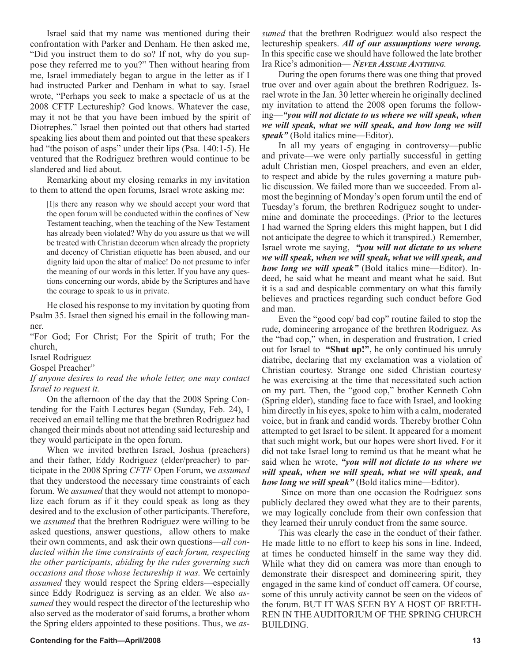Israel said that my name was mentioned during their confrontation with Parker and Denham. He then asked me, "Did you instruct them to do so? If not, why do you suppose they referred me to you?" Then without hearing from me, Israel immediately began to argue in the letter as if I had instructed Parker and Denham in what to say. Israel wrote, "Perhaps you seek to make a spectacle of us at the 2008 CFTF Lectureship? God knows. Whatever the case, may it not be that you have been imbued by the spirit of Diotrephes." Israel then pointed out that others had started speaking lies about them and pointed out that these speakers had "the poison of asps" under their lips (Psa. 140:1-5). He ventured that the Rodriguez brethren would continue to be slandered and lied about.

Remarking about my closing remarks in my invitation to them to attend the open forums, Israel wrote asking me:

[I]s there any reason why we should accept your word that the open forum will be conducted within the confines of New Testament teaching, when the teaching of the New Testament has already been violated? Why do you assure us that we will be treated with Christian decorum when already the propriety and decency of Christian etiquette has been abused, and our dignity laid upon the altar of malice! Do not presume to infer the meaning of our words in this letter. If you have any questions concerning our words, abide by the Scriptures and have the courage to speak to us in private.

He closed his response to my invitation by quoting from Psalm 35. Israel then signed his email in the following manner.

"For God; For Christ; For the Spirit of truth; For the church,

Israel Rodriguez

Gospel Preacher"

*If anyone desires to read the whole letter, one may contact Israel to request it.*

On the afternoon of the day that the 2008 Spring Contending for the Faith Lectures began (Sunday, Feb. 24), I received an email telling me that the brethren Rodriguez had changed their minds about not attending said lectureship and they would participate in the open forum.

When we invited brethren Israel, Joshua (preachers) and their father, Eddy Rodriguez (elder/preacher) to participate in the 2008 Spring *CFTF* Open Forum, we *assumed* that they understood the necessary time constraints of each forum. We *assumed* that they would not attempt to monopolize each forum as if it they could speak as long as they desired and to the exclusion of other participants. Therefore, we *assumed* that the brethren Rodriguez were willing to be asked questions, answer questions, allow others to make their own comments, and ask their own questions—*all conducted within the time constraints of each forum, respecting the other participants, abiding by the rules governing such occasions and those whose lectureship it was.* We certainly *assumed* they would respect the Spring elders—especially since Eddy Rodriguez is serving as an elder. We also *assumed* they would respect the director of the lectureship who also served as the moderator of said forums, a brother whom the Spring elders appointed to these positions. Thus, we *as-* *sumed* that the brethren Rodriguez would also respect the lectureship speakers. *All of our assumptions were wrong.* In this specific case we should have followed the late brother Ira Rice's admonition— *NEVER ASSUME ANYTHING.*

During the open forums there was one thing that proved true over and over again about the brethren Rodriguez. Israel wrote in the Jan. 30 letter wherein he originally declined my invitation to attend the 2008 open forums the following—*"you will not dictate to us where we will speak, when we will speak, what we will speak, and how long we will speak"* (Bold italics mine—Editor).

In all my years of engaging in controversy—public and private—we were only partially successful in getting adult Christian men, Gospel preachers, and even an elder, to respect and abide by the rules governing a mature public discussion. We failed more than we succeeded. From almost the beginning of Monday's open forum until the end of Tuesday's forum, the brethren Rodriguez sought to undermine and dominate the proceedings. (Prior to the lectures I had warned the Spring elders this might happen, but I did not anticipate the degree to which it transpired.) Remember, Israel wrote me saying, *"you will not dictate to us where we will speak, when we will speak, what we will speak, and how long we will speak"* (Bold italics mine—Editor). Indeed, he said what he meant and meant what he said. But it is a sad and despicable commentary on what this family believes and practices regarding such conduct before God and man.

Even the "good cop/ bad cop" routine failed to stop the rude, domineering arrogance of the brethren Rodriguez. As the "bad cop," when, in desperation and frustration, I cried out for Israel to **"Shut up!"**, he only continued his unruly diatribe, declaring that my exclamation was a violation of Christian courtesy. Strange one sided Christian courtesy he was exercising at the time that necessitated such action on my part. Then, the "good cop," brother Kenneth Cohn (Spring elder), standing face to face with Israel, and looking him directly in his eyes, spoke to him with a calm, moderated voice, but in frank and candid words. Thereby brother Cohn attempted to get Israel to be silent. It appeared for a moment that such might work, but our hopes were short lived. For it did not take Israel long to remind us that he meant what he said when he wrote, *"you will not dictate to us where we will speak, when we will speak, what we will speak, and how long we will speak"* (Bold italics mine—Editor).

 Since on more than one occasion the Rodriguez sons publicly declared they owed what they are to their parents, we may logically conclude from their own confession that they learned their unruly conduct from the same source.

This was clearly the case in the conduct of their father. He made little to no effort to keep his sons in line. Indeed, at times he conducted himself in the same way they did. While what they did on camera was more than enough to demonstrate their disrespect and domineering spirit, they engaged in the same kind of conduct off camera. Of course, some of this unruly activity cannot be seen on the videos of the forum. BUT IT WAS SEEN BY A HOST OF BRETH-REN IN THE AUDITORIUM OF THE SPRING CHURCH BUILDING.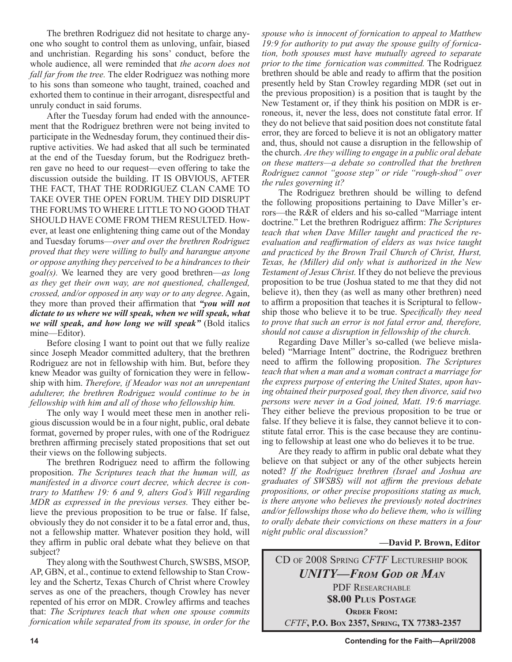The brethren Rodriguez did not hesitate to charge anyone who sought to control them as unloving, unfair, biased and unchristian. Regarding his sons' conduct, before the whole audience, all were reminded that *the acorn does not fall far from the tree.* The elder Rodriguez was nothing more to his sons than someone who taught, trained, coached and exhorted them to continue in their arrogant, disrespectful and unruly conduct in said forums.

After the Tuesday forum had ended with the announcement that the Rodriguez brethren were not being invited to participate in the Wednesday forum, they continued their disruptive activities. We had asked that all such be terminated at the end of the Tuesday forum, but the Rodriguez brethren gave no heed to our request—even offering to take the discussion outside the building. IT IS OBVIOUS, AFTER THE FACT, THAT THE RODRIGUEZ CLAN CAME TO TAKE OVER THE OPEN FORUM. THEY DID DISRUPT THE FORUMS TO WHERE LITTLE TO NO GOOD THAT SHOULD HAVE COME FROM THEM RESULTED. However, at least one enlightening thing came out of the Monday and Tuesday forums—*over and over the brethren Rodriguez proved that they were willing to bully and harangue anyone or oppose anything they perceived to be a hindrances to their goal(s).* We learned they are very good brethren—*as long as they get their own way, are not questioned, challenged, crossed, and/or opposed in any way or to any degree*. Again, they more than proved their affirmation that *"you will not dictate to us where we will speak, when we will speak, what we will speak, and how long we will speak"* (Bold italics mine—Editor).

Before closing I want to point out that we fully realize since Joseph Meador committed adultery, that the brethren Rodriguez are not in fellowship with him. But, before they knew Meador was guilty of fornication they were in fellowship with him. *Therefore, if Meador was not an unrepentant adulterer, the brethren Rodriguez would continue to be in fellowship with him and all of those who fellowship him.*

The only way I would meet these men in another religious discussion would be in a four night, public, oral debate format, governed by proper rules, with one of the Rodriguez brethren affirming precisely stated propositions that set out their views on the following subjects.

The brethren Rodriguez need to affirm the following proposition. *The Scriptures teach that the human will, as manifested in a divorce court decree, which decree is contrary to Matthew 19: 6 and 9, alters God's Will regarding MDR as expressed in the previous verses.* They either believe the previous proposition to be true or false. If false, obviously they do not consider it to be a fatal error and, thus, not a fellowship matter. Whatever position they hold, will they affirm in public oral debate what they believe on that subject?

They along with the Southwest Church, SWSBS, MSOP, AP, GBN, et al., continue to extend fellowship to Stan Crowley and the Schertz, Texas Church of Christ where Crowley serves as one of the preachers, though Crowley has never repented of his error on MDR. Crowley affirms and teaches that: *The Scriptures teach that when one spouse commits fornication while separated from its spouse, in order for the*  *spouse who is innocent of fornication to appeal to Matthew 19:9 for authority to put away the spouse guilty of fornication, both spouses must have mutually agreed to separate prior to the time fornication was committed.* The Rodriguez brethren should be able and ready to affirm that the position presently held by Stan Crowley regarding MDR (set out in the previous proposition) is a position that is taught by the New Testament or, if they think his position on MDR is erroneous, it, never the less, does not constitute fatal error. If they do not believe that said position does not constitute fatal error, they are forced to believe it is not an obligatory matter and, thus, should not cause a disruption in the fellowship of the church. *Are they willing to engage in a public oral debate on these matters—a debate so controlled that the brethren Rodriguez cannot "goose step" or ride "rough-shod" over the rules governing it?*

The Rodriguez brethren should be willing to defend the following propositions pertaining to Dave Miller's errors—the R&R of elders and his so-called "Marriage intent doctrine." Let the brethren Rodriguez affirm: *The Scriptures teach that when Dave Miller taught and practiced the reevaluation and reaffirmation of elders as was twice taught and practiced by the Brown Trail Church of Christ, Hurst, Texas, he (Miller) did only what is authorized in the New Testament of Jesus Christ.* If they do not believe the previous proposition to be true (Joshua stated to me that they did not believe it), then they (as well as many other brethren) need to affirm a proposition that teaches it is Scriptural to fellowship those who believe it to be true. S*pecifically they need to prove that such an error is not fatal error and, therefore, should not cause a disruption in fellowship of the church.*

Regarding Dave Miller's so-called (we believe mislabeled) "Marriage Intent" doctrine, the Rodriguez brethren need to affirm the following proposition. *The Scriptures teach that when a man and a woman contract a marriage for the express purpose of entering the United States, upon having obtained their purposed goal, they then divorce, said two persons were never in a God joined, Matt. 19:6 marriage.* They either believe the previous proposition to be true or false. If they believe it is false, they cannot believe it to constitute fatal error. This is the case because they are continuing to fellowship at least one who do believes it to be true.

Are they ready to affirm in public oral debate what they believe on that subject or any of the other subjects herein noted? *If the Rodriguez brethren (Israel and Joshua are graduates of SWSBS) will not affirm the previous debate propositions, or other precise propositions stating as much, is there anyone who believes the previously noted doctrines and/or fellowships those who do believe them, who is willing to orally debate their convictions on these matters in a four night public oral discussion?*

### **—David P. Brown, Editor**

CD OF 2008 SPRING *CFTF* LECTURESHIP BOOK *UNITY—FROM GOD OR MAN* PDF RESEARCHABLE **\$8.00 PLUS POSTAGE ORDER FROM:**  *CFTF***, P.O. BOX 2357, SPRING, TX 77383-2357**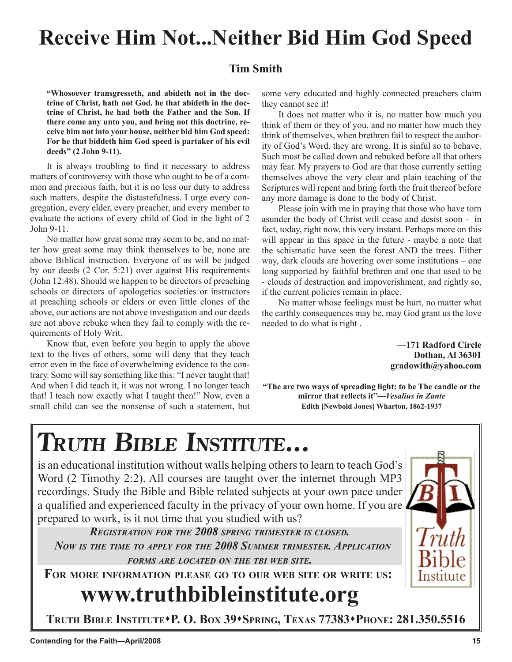## **Receive Him Not...Neither Bid Him God Speed**

**Terry M. Hightower**

### **Tim Smith**

**"Whosoever transgresseth, and abideth not in the doctrine of Christ, hath not God. he that abideth in the doctrine of Christ, he had both the Father and the Son. If there come any unto you, and bring not this doctrine, receive him not into your house, neither bid him God speed: For he that biddeth him God speed is partaker of his evil deeds" (2 John 9-11).**

It is always troubling to find it necessary to address matters of controversy with those who ought to be of a common and precious faith, but it is no less our duty to address such matters, despite the distastefulness. I urge every congregation, every elder, every preacher, and every member to evaluate the actions of every child of God in the light of 2 John 9-11.

No matter how great some may seem to be, and no matter how great some may think themselves to be, none are above Biblical instruction. Everyone of us will be judged by our deeds (2 Cor. 5:21) over against His requirements (John 12:48). Should we happen to be directors of preaching schools or directors of apologetics societies or instructors at preaching schools or elders or even little clones of the above, our actions are not above investigation and our deeds are not above rebuke when they fail to comply with the requirements of Holy Writ.

Know that, even before you begin to apply the above text to the lives of others, some will deny that they teach error even in the face of overwhelming evidence to the contrary. Some will say something like this: "I never taught that! And when I did teach it, it was not wrong. I no longer teach that! I teach now exactly what I taught then!" Now, even a small child can see the nonsense of such a statement, but some very educated and highly connected preachers claim they cannot see it!

It does not matter who it is, no matter how much you think of them or they of you, and no matter how much they think of themselves, when brethren fail to respect the authority of God's Word, they are wrong. It is sinful so to behave. Such must be called down and rebuked before all that others may fear. My prayers to God are that those currently setting themselves above the very clear and plain teaching of the Scriptures will repent and bring forth the fruit thereof before any more damage is done to the body of Christ.

Please join with me in praying that those who have torn asunder the body of Christ will cease and desist soon - in fact, today, right now, this very instant. Perhaps more on this will appear in this space in the future - maybe a note that the schismatic have seen the forest AND the trees. Either way, dark clouds are hovering over some institutions – one long supported by faithful brethren and one that used to be - clouds of destruction and impoverishment, and rightly so, if the current policies remain in place.

No matter whose feelings must be hurt, no matter what the earthly consequences may be, may God grant us the love needed to do what is right .

> **—171 Radford Circle Dothan, Al 36301 gradowith@yahoo.com**

**Paul Vaughn**

**"The are two ways of spreading light: to be The candle or the mirror that reflects it"—***Vesalius in Zante* **Edith [Newbold Jones] Wharton, 1862-1937**

# **TRUTH BIBLE INSTITUTE...**

is an educational institution without walls helping others to learn to teach God's Word (2 Timothy 2:2). All courses are taught over the internet through MP3 recordings. Study the Bible and Bible related subjects at your own pace under a qualified and experienced faculty in the privacy of your own home. If you are prepared to work, is it not time that you studied with us?

*REGISTRATION FOR THE 2008 SPRING TRIMESTER IS CLOSED. NOW IS THE TIME TO APPLY FOR THE 2008 SUMMER TRIMESTER. APPLICATION FORMS ARE LOCATED ON THE TBI WEB SITE.*

**FOR MORE INFORMATION PLEASE GO TO OUR WEB SITE OR WRITE US:**

## **www.truthbibleinstitute.org**

**TRUTH BIBLE INSTITUTEP. O. BOX 39SPRING, TEXAS 77383PHONE: 281.350.5516**

Institute